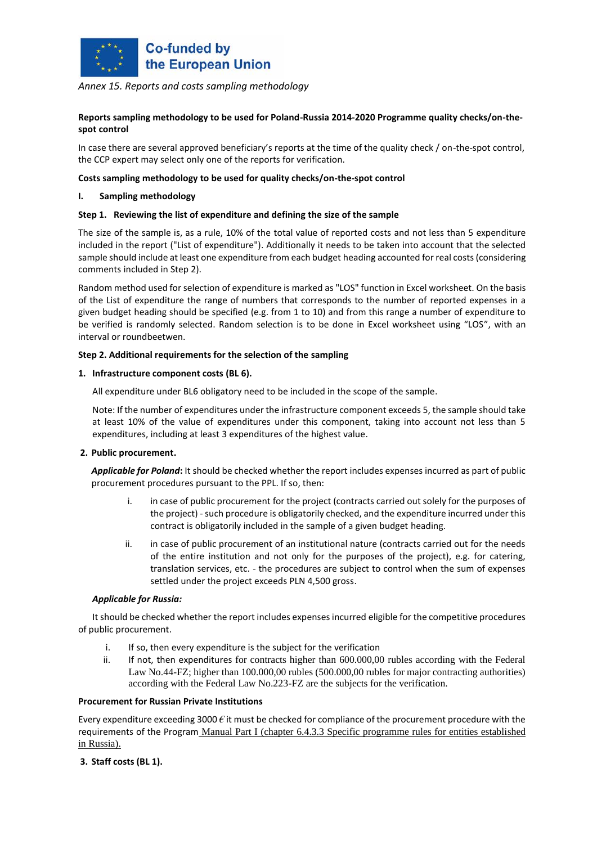

# *Annex 15. Reports and costs sampling methodology*

# **Reports sampling methodology to be used for Poland-Russia 2014-2020 Programme quality checks/on-thespot control**

In case there are several approved beneficiary's reports at the time of the quality check / on-the-spot control, the CCP expert may select only one of the reports for verification.

#### **Costs sampling methodology to be used for quality checks/on-the-spot control**

#### **I. Sampling methodology**

#### **Step 1. Reviewing the list of expenditure and defining the size of the sample**

The size of the sample is, as a rule, 10% of the total value of reported costs and not less than 5 expenditure included in the report ("List of expenditure"). Additionally it needs to be taken into account that the selected sample should include at least one expenditure from each budget heading accounted for real costs (considering comments included in Step 2).

Random method used for selection of expenditure is marked as "LOS" function in Excel worksheet. On the basis of the List of expenditure the range of numbers that corresponds to the number of reported expenses in a given budget heading should be specified (e.g. from 1 to 10) and from this range a number of expenditure to be verified is randomly selected. Random selection is to be done in Excel worksheet using "LOS", with an interval or roundbeetwen.

#### **Step 2. Additional requirements for the selection of the sampling**

#### **1. Infrastructure component costs (BL 6).**

All expenditure under BL6 obligatory need to be included in the scope of the sample.

Note: If the number of expenditures under the infrastructure component exceeds 5, the sample should take at least 10% of the value of expenditures under this component, taking into account not less than 5 expenditures, including at least 3 expenditures of the highest value.

## **2. Public procurement.**

*Applicable for Poland***:** It should be checked whether the report includes expenses incurred as part of public procurement procedures pursuant to the PPL. If so, then:

- i. in case of public procurement for the project (contracts carried out solely for the purposes of the project) - such procedure is obligatorily checked, and the expenditure incurred under this contract is obligatorily included in the sample of a given budget heading.
- ii. in case of public procurement of an institutional nature (contracts carried out for the needs of the entire institution and not only for the purposes of the project), e.g. for catering, translation services, etc. - the procedures are subject to control when the sum of expenses settled under the project exceeds PLN 4,500 gross.

## *Applicable for Russia:*

It should be checked whether the report includes expenses incurred eligible for the competitive procedures of public procurement.

- i. If so, then every expenditure is the subject for the verification
- ii. If not, then expenditures for contracts higher than 600.000,00 rubles according with the Federal Law No.44-FZ; higher than 100.000,00 rubles (500.000,00 rubles for major contracting authorities) according with the Federal Law No.223-FZ are the subjects for the verification.

## **Procurement for Russian Private Institutions**

Every expenditure exceeding 3000 *€* it must be checked for compliance of the procurement procedure with the requirements of the Program Manual Part I (chapter 6.4.3.3 Specific programme rules for entities established in Russia).

## **3. Staff costs (BL 1).**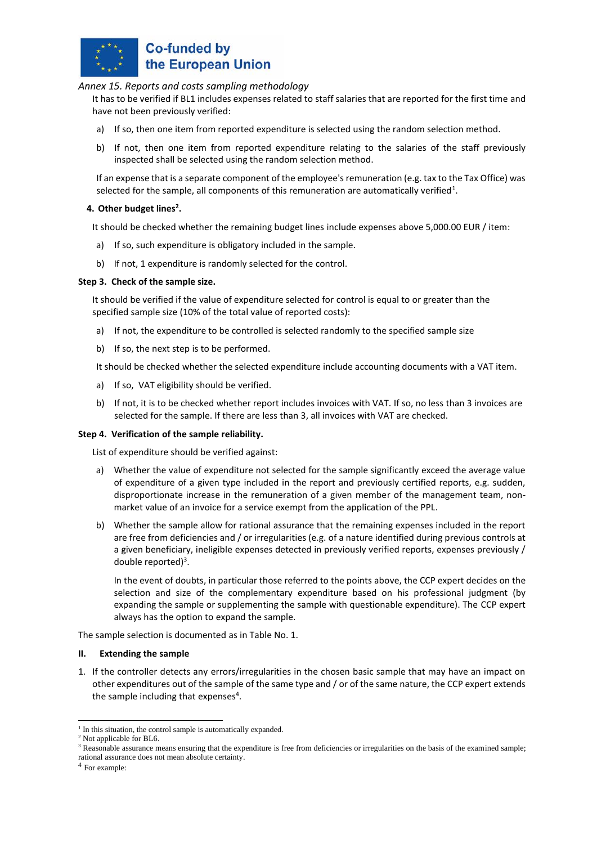

# **Co-funded by** the European Union

# *Annex 15. Reports and costs sampling methodology*

It has to be verified if BL1 includes expenses related to staff salaries that are reported for the first time and have not been previously verified:

- a) If so, then one item from reported expenditure is selected using the random selection method.
- b) If not, then one item from reported expenditure relating to the salaries of the staff previously inspected shall be selected using the random selection method.

If an expense that is a separate component of the employee's remuneration (e.g. tax to the Tax Office) was selected for the sample, all components of this remuneration are automatically verified<sup>1</sup>.

# **4. Other budget lines<sup>2</sup> .**

It should be checked whether the remaining budget lines include expenses above 5,000.00 EUR / item:

- a) If so, such expenditure is obligatory included in the sample.
- b) If not, 1 expenditure is randomly selected for the control.

## **Step 3. Check of the sample size.**

It should be verified if the value of expenditure selected for control is equal to or greater than the specified sample size (10% of the total value of reported costs):

- a) If not, the expenditure to be controlled is selected randomly to the specified sample size
- b) If so, the next step is to be performed.

It should be checked whether the selected expenditure include accounting documents with a VAT item.

- a) If so, VAT eligibility should be verified.
- b) If not, it is to be checked whether report includes invoices with VAT. If so, no less than 3 invoices are selected for the sample. If there are less than 3, all invoices with VAT are checked.

## **Step 4. Verification of the sample reliability.**

List of expenditure should be verified against:

- a) Whether the value of expenditure not selected for the sample significantly exceed the average value of expenditure of a given type included in the report and previously certified reports, e.g. sudden, disproportionate increase in the remuneration of a given member of the management team, nonmarket value of an invoice for a service exempt from the application of the PPL.
- b) Whether the sample allow for rational assurance that the remaining expenses included in the report are free from deficiencies and / or irregularities (e.g. of a nature identified during previous controls at a given beneficiary, ineligible expenses detected in previously verified reports, expenses previously / double reported)<sup>3</sup>.

In the event of doubts, in particular those referred to the points above, the CCP expert decides on the selection and size of the complementary expenditure based on his professional judgment (by expanding the sample or supplementing the sample with questionable expenditure). The CCP expert always has the option to expand the sample.

The sample selection is documented as in Table No. 1.

#### **II. Extending the sample**

1. If the controller detects any errors/irregularities in the chosen basic sample that may have an impact on other expenditures out of the sample of the same type and / or of the same nature, the CCP expert extends the sample including that expenses<sup>4</sup>.

rational assurance does not mean absolute certainty.

<sup>&</sup>lt;sup>1</sup> In this situation, the control sample is automatically expanded.

<sup>&</sup>lt;sup>2</sup> Not applicable for BL6.

 $3$  Reasonable assurance means ensuring that the expenditure is free from deficiencies or irregularities on the basis of the examined sample;

<sup>4</sup> For example: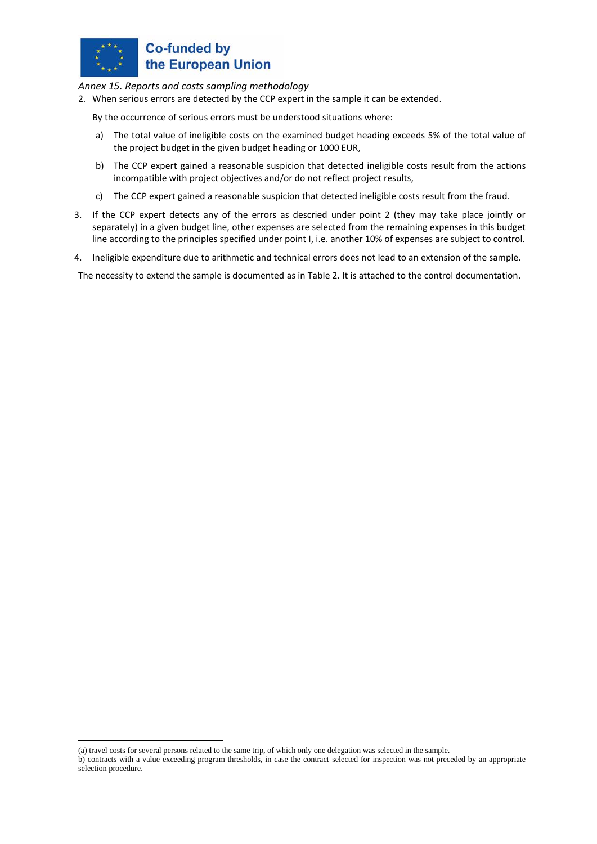

# **Co-funded by** the European Union

*Annex 15. Reports and costs sampling methodology*

2. When serious errors are detected by the CCP expert in the sample it can be extended.

By the occurrence of serious errors must be understood situations where:

- a) The total value of ineligible costs on the examined budget heading exceeds 5% of the total value of the project budget in the given budget heading or 1000 EUR,
- b) The CCP expert gained a reasonable suspicion that detected ineligible costs result from the actions incompatible with project objectives and/or do not reflect project results,
- c) The CCP expert gained a reasonable suspicion that detected ineligible costs result from the fraud.
- 3. If the CCP expert detects any of the errors as descried under point 2 (they may take place jointly or separately) in a given budget line, other expenses are selected from the remaining expenses in this budget line according to the principles specified under point I, i.e. another 10% of expenses are subject to control.
- 4. Ineligible expenditure due to arithmetic and technical errors does not lead to an extension of the sample.

The necessity to extend the sample is documented as in Table 2. It is attached to the control documentation.

(a) travel costs for several persons related to the same trip, of which only one delegation was selected in the sample.

b) contracts with a value exceeding program thresholds, in case the contract selected for inspection was not preceded by an appropriate selection procedure.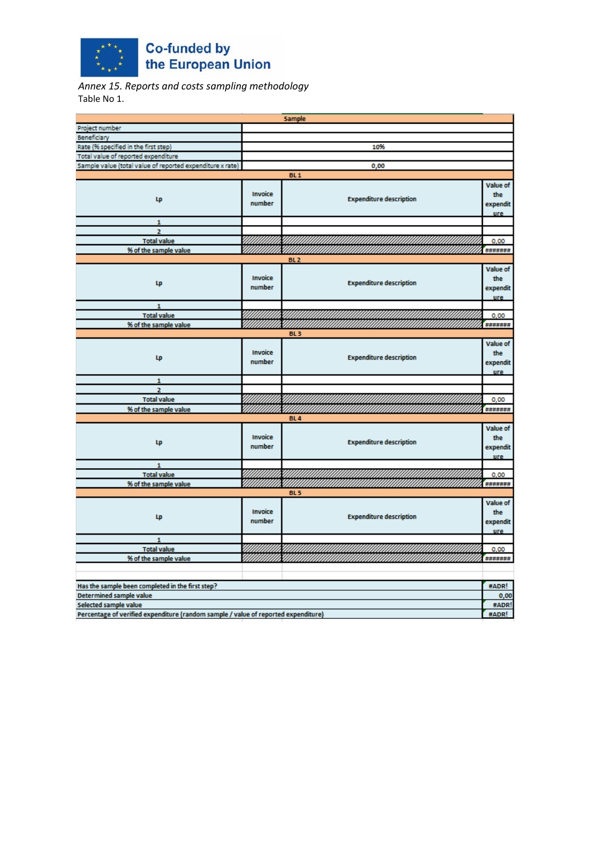

*Annex 15. Reports and costs sampling methodology* Table No 1.

|                                                                                    |         | <b>Sample</b>                  |            |  |
|------------------------------------------------------------------------------------|---------|--------------------------------|------------|--|
| Project number                                                                     |         |                                |            |  |
| Beneficiary                                                                        |         |                                |            |  |
| Rate (% specified in the first step)                                               |         | 10%                            |            |  |
| Total value of reported expenditure                                                |         |                                |            |  |
| Sample value (total value of reported expenditure x rate)                          |         | 0,00                           |            |  |
|                                                                                    |         | BL <sub>1</sub>                |            |  |
|                                                                                    |         |                                | Value of   |  |
| Lp                                                                                 | Invoice | <b>Expenditure description</b> | the        |  |
|                                                                                    | number  |                                | expendit   |  |
|                                                                                    |         |                                | <b>ure</b> |  |
| $\mathbf{1}$                                                                       |         |                                |            |  |
| $\overline{2}$                                                                     |         |                                |            |  |
| <b>Total value</b>                                                                 |         |                                | 0.00       |  |
| % of the sample value                                                              |         |                                | *******    |  |
|                                                                                    |         | BL <sub>2</sub>                |            |  |
|                                                                                    |         |                                | Value of   |  |
| Lp                                                                                 | Invoice | <b>Expenditure description</b> | the        |  |
|                                                                                    | number  |                                | expendit   |  |
|                                                                                    |         |                                | ure.       |  |
| 1                                                                                  |         |                                |            |  |
| <b>Total value</b>                                                                 |         |                                | 0,00       |  |
| % of the sample value                                                              |         | BL <sub>3</sub>                | *******    |  |
|                                                                                    |         |                                |            |  |
|                                                                                    |         |                                | Value of   |  |
| Lp                                                                                 | Invoice | <b>Expenditure description</b> | the        |  |
|                                                                                    | number  |                                | expendit   |  |
| $\mathbf{1}$                                                                       |         |                                | ure.       |  |
| $\overline{z}$                                                                     |         |                                |            |  |
| <b>Total value</b>                                                                 |         |                                | 0,00       |  |
| % of the sample value                                                              |         |                                | *******    |  |
|                                                                                    |         | <b>BL4</b>                     |            |  |
|                                                                                    |         |                                | Value of   |  |
|                                                                                    | Invoice |                                | the        |  |
| Lp                                                                                 | number  | <b>Expenditure description</b> | expendit   |  |
|                                                                                    |         |                                | ure        |  |
| $\mathbf{1}$                                                                       |         |                                |            |  |
| <b>Total value</b>                                                                 |         |                                | 0.00       |  |
| % of the sample value                                                              |         |                                | *******    |  |
|                                                                                    |         | <b>BL5</b>                     |            |  |
|                                                                                    | Invoice | <b>Expenditure description</b> | Value of   |  |
| Lp                                                                                 |         |                                | the        |  |
|                                                                                    | number  |                                | expendit   |  |
|                                                                                    |         |                                | ure.       |  |
| 1                                                                                  |         |                                |            |  |
| <b>Total value</b>                                                                 |         |                                | 0,00       |  |
| % of the sample value                                                              |         |                                |            |  |
|                                                                                    |         |                                |            |  |
| Has the sample been completed in the first step?                                   |         |                                | #ADR!      |  |
| Determined sample value                                                            |         |                                |            |  |
| Selected sample value                                                              |         |                                |            |  |
| Percentage of verified expenditure (random sample / value of reported expenditure) |         |                                |            |  |